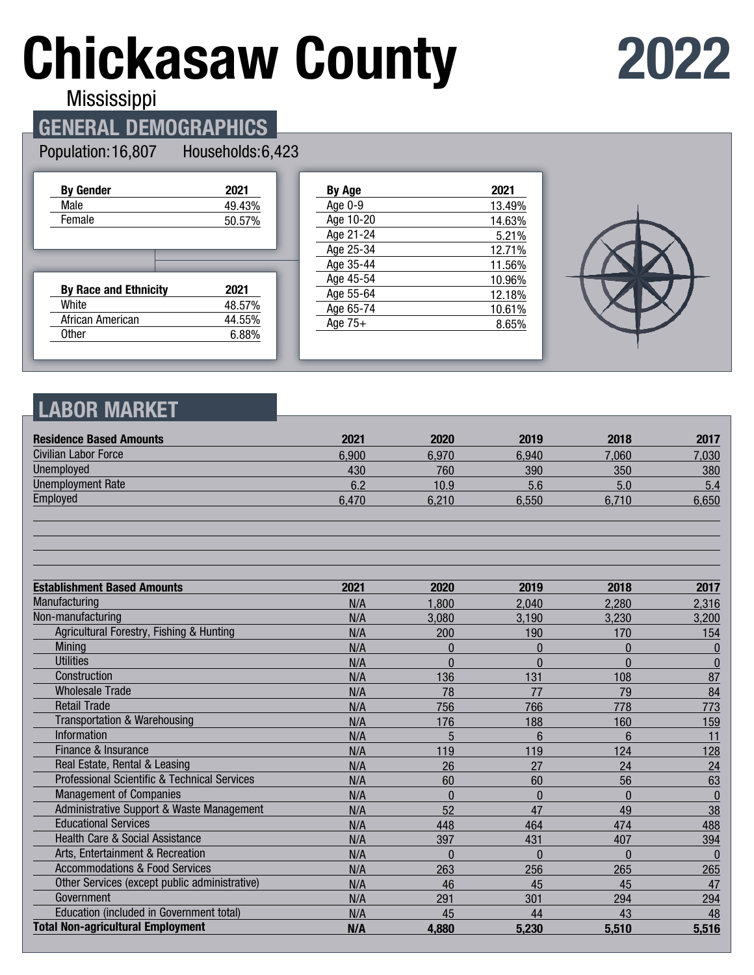# **Chickasaw County**

## **2022**

**Mississippi** 

## **GENERAL DEMOGRAPHICS**

#### Population: 16,807 Households: 6,423

| <b>By Gender</b>             | 2021   |
|------------------------------|--------|
| Male                         | 49.43% |
| Female                       | 50.57% |
|                              |        |
|                              |        |
|                              |        |
| <b>By Race and Ethnicity</b> | 2021   |
| White                        | 48.57% |
| African American             | 44.55% |

| <b>By Age</b> | 2021   |
|---------------|--------|
| Age 0-9       | 13.49% |
| Age 10-20     | 14.63% |
| Age 21-24     | 5.21%  |
| Age 25-34     | 12.71% |
| Age 35-44     | 11.56% |
| Age 45-54     | 10.96% |
| Age 55-64     | 12.18% |
| Age 65-74     | 10.61% |
| Age $75+$     | 8.65%  |
|               |        |



## **LABOR MARKET**

| <b>Residence Based Amounts</b>                          | 2021  | 2020     | 2019     | 2018           | 2017         |
|---------------------------------------------------------|-------|----------|----------|----------------|--------------|
| Civilian Labor Force                                    | 6,900 | 6,970    | 6,940    | 7.060          | 7,030        |
| <b>Unemployed</b>                                       | 430   | 760      | 390      | 350            | 380          |
| <b>Unemployment Rate</b>                                | 6.2   | 10.9     | 5.6      | 5.0            | 5.4          |
| Employed                                                | 6,470 | 6,210    | 6,550    | 6,710          | 6,650        |
|                                                         |       |          |          |                |              |
| <b>Establishment Based Amounts</b>                      | 2021  | 2020     | 2019     | 2018           | 2017         |
| Manufacturing                                           | N/A   | 1,800    | 2.040    | 2,280          | 2,316        |
| Non-manufacturing                                       | N/A   | 3,080    | 3,190    | 3,230          | 3,200        |
| Agricultural Forestry, Fishing & Hunting                | N/A   | 200      | 190      | 170            | 154          |
| Mining                                                  | N/A   | $\Omega$ | $\Omega$ | $\overline{0}$ | $\bf{0}$     |
| <b>Utilities</b>                                        | N/A   | $\Omega$ | $\Omega$ | $\Omega$       | $\bf{0}$     |
| Construction                                            | N/A   | 136      | 131      | 108            | 87           |
| <b>Wholesale Trade</b>                                  | N/A   | 78       | 77       | 79             | 84           |
| <b>Retail Trade</b>                                     | N/A   | 756      | 766      | 778            | 773          |
| <b>Transportation &amp; Warehousing</b>                 | N/A   | 176      | 188      | 160            | 159          |
| Information                                             | N/A   | 5        | 6        | 6              | 11           |
| Finance & Insurance                                     | N/A   | 119      | 119      | 124            | 128          |
| Real Estate, Rental & Leasing                           | N/A   | 26       | 27       | 24             | 24           |
| <b>Professional Scientific &amp; Technical Services</b> | N/A   | 60       | 60       | 56             | 63           |
| <b>Management of Companies</b>                          | N/A   | $\Omega$ | $\Omega$ | $\Omega$       | $\mathbf{0}$ |
| Administrative Support & Waste Management               | N/A   | 52       | 47       | 49             | 38           |
| <b>Educational Services</b>                             | N/A   | 448      | 464      | 474            | 488          |
| <b>Health Care &amp; Social Assistance</b>              | N/A   | 397      | 431      | 407            | 394          |
| Arts, Entertainment & Recreation                        | N/A   | $\Omega$ | $\Omega$ | $\overline{0}$ | $\Omega$     |
| <b>Accommodations &amp; Food Services</b>               | N/A   | 263      | 256      | 265            | 265          |
| Other Services (except public administrative)           | N/A   | 46       | 45       | 45             | 47           |
| Government                                              | N/A   | 291      | 301      | 294            | 294          |
| Education (included in Government total)                | N/A   | 45       | 44       | 43             | 48           |
| <b>Total Non-agricultural Employment</b>                | N/A   | 4,880    | 5,230    | 5,510          | 5,516        |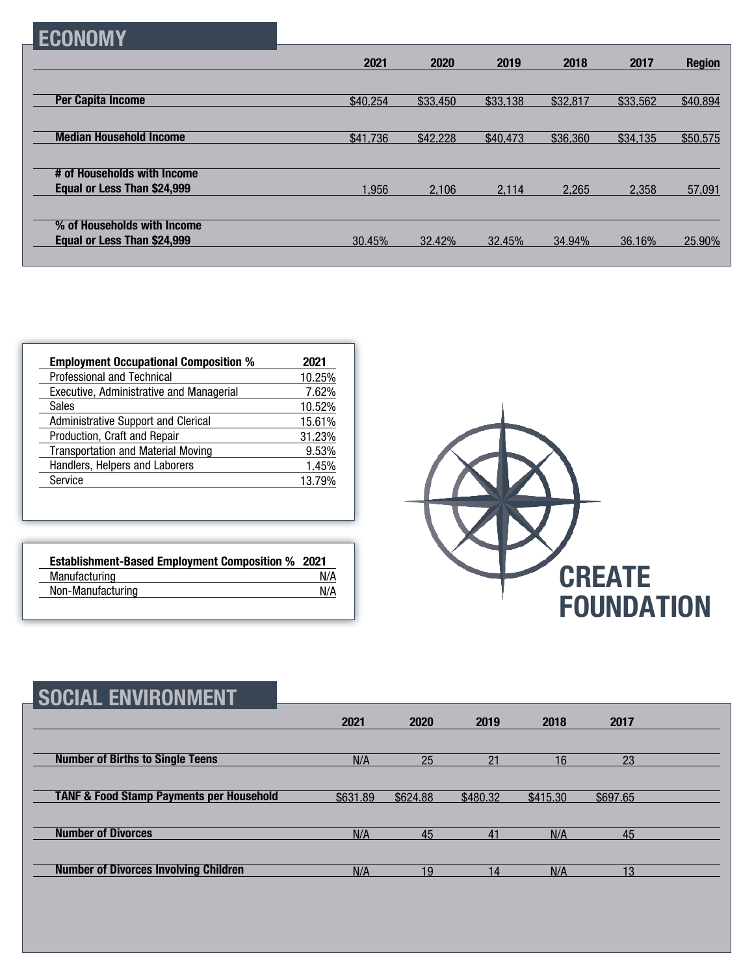|--|

|                                                            | 2021     | 2020     | 2019     | 2018     | 2017     | <b>Region</b> |
|------------------------------------------------------------|----------|----------|----------|----------|----------|---------------|
| <b>Per Capita Income</b>                                   | \$40,254 | \$33,450 | \$33,138 | \$32,817 | \$33,562 | \$40,894      |
| <b>Median Household Income</b>                             | \$41,736 | \$42,228 | \$40,473 | \$36,360 | \$34,135 | \$50,575      |
| # of Households with Income<br>Equal or Less Than \$24,999 | 1,956    | 2.106    | 2.114    | 2.265    | 2.358    |               |
| % of Households with Income                                |          |          |          |          |          | 57,091        |
| Equal or Less Than \$24,999                                | 30.45%   | 32.42%   | 32.45%   | 34.94%   | 36.16%   | 25.90%        |

| <b>Employment Occupational Composition %</b>    | 2021   |
|-------------------------------------------------|--------|
| Professional and Technical                      | 10.25% |
| <b>Executive, Administrative and Managerial</b> | 7.62%  |
| <b>Sales</b>                                    | 10.52% |
| Administrative Support and Clerical             | 15.61% |
| Production, Craft and Repair                    | 31.23% |
| <b>Transportation and Material Moving</b>       | 9.53%  |
| Handlers, Helpers and Laborers                  | 1.45%  |
| Service                                         | 13.79% |

| <b>Establishment-Based Employment Composition % 2021</b> |     |
|----------------------------------------------------------|-----|
| Manufacturing                                            | N/A |
| Non-Manufacturing                                        | N/A |



| <b>SOCIAL ENVIRONMENT</b>                           |          |          |          |          |          |  |
|-----------------------------------------------------|----------|----------|----------|----------|----------|--|
|                                                     | 2021     | 2020     | 2019     | 2018     | 2017     |  |
| <b>Number of Births to Single Teens</b>             | N/A      | 25       | 21       | 16       | 23       |  |
| <b>TANF &amp; Food Stamp Payments per Household</b> | \$631.89 | \$624.88 | \$480.32 | \$415.30 | \$697.65 |  |
| <b>Number of Divorces</b>                           | N/A      | 45       | 41       | N/A      | 45       |  |
| <b>Number of Divorces Involving Children</b>        | N/A      | 19       | 14       | N/A      | 13       |  |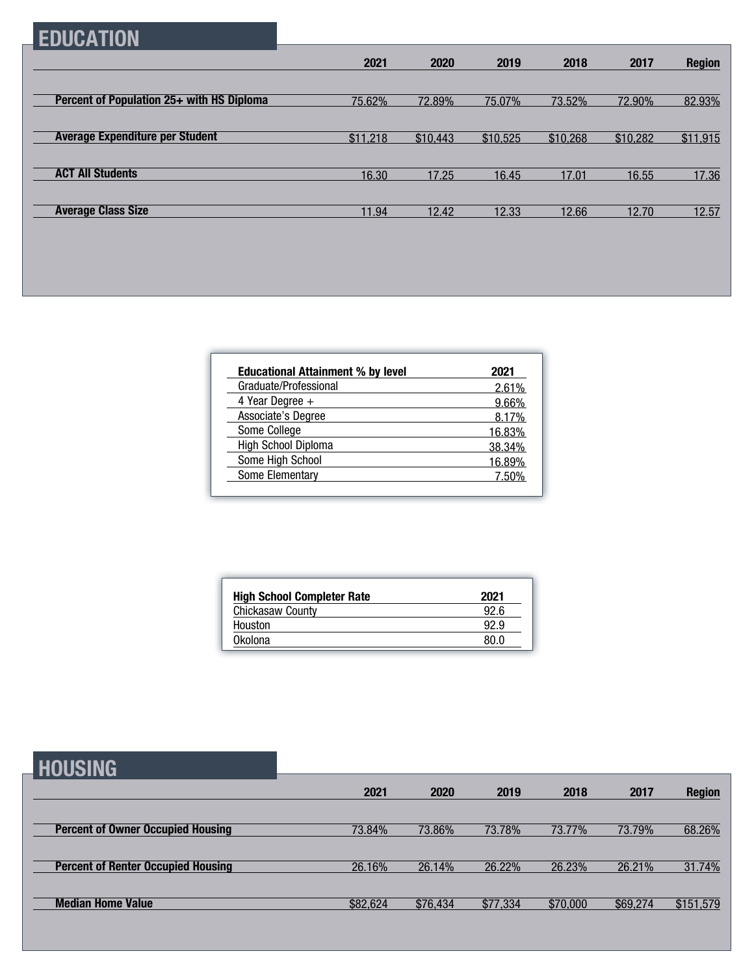## **EDUCATION**

| 2021     | 2020     | 2019     | 2018     | 2017     | <b>Region</b> |
|----------|----------|----------|----------|----------|---------------|
|          |          |          |          |          |               |
| 75.62%   | 72.89%   | 75.07%   | 73.52%   | 72.90%   | 82.93%        |
|          |          |          |          |          |               |
| \$11,218 | \$10,443 | \$10,525 | \$10,268 | \$10,282 | \$11,915      |
|          |          |          |          |          |               |
| 16.30    | 17.25    | 16.45    | 17.01    | 16.55    | 17.36         |
|          |          |          |          |          |               |
| 11.94    | 12.42    | 12.33    | 12.66    | 12.70    | 12.57         |
|          |          |          |          |          |               |

| <b>Educational Attainment % by level</b> | 2021   |
|------------------------------------------|--------|
| Graduate/Professional                    | 2.61%  |
| 4 Year Degree $+$                        | 9.66%  |
| Associate's Degree                       | 8.17%  |
| Some College                             | 16.83% |
| High School Diploma                      | 38.34% |
| Some High School                         | 16.89% |
| Some Elementary                          | 7 50%  |

| 2021 |
|------|
| 92 R |
| 92.9 |
| 80 O |
|      |

**HOUSING**

| ----------                                |          |          |          |          |          |               |
|-------------------------------------------|----------|----------|----------|----------|----------|---------------|
|                                           | 2021     | 2020     | 2019     | 2018     | 2017     | <b>Region</b> |
|                                           |          |          |          |          |          |               |
| <b>Percent of Owner Occupied Housing</b>  | 73.84%   | 73.86%   | 73.78%   | 73.77%   | 73.79%   | 68.26%        |
|                                           |          |          |          |          |          |               |
| <b>Percent of Renter Occupied Housing</b> | 26.16%   | 26.14%   | 26.22%   | 26.23%   | 26.21%   | 31.74%        |
|                                           |          |          |          |          |          |               |
| <b>Median Home Value</b>                  | \$82,624 | \$76,434 | \$77,334 | \$70,000 | \$69,274 | \$151,579     |
|                                           |          |          |          |          |          |               |